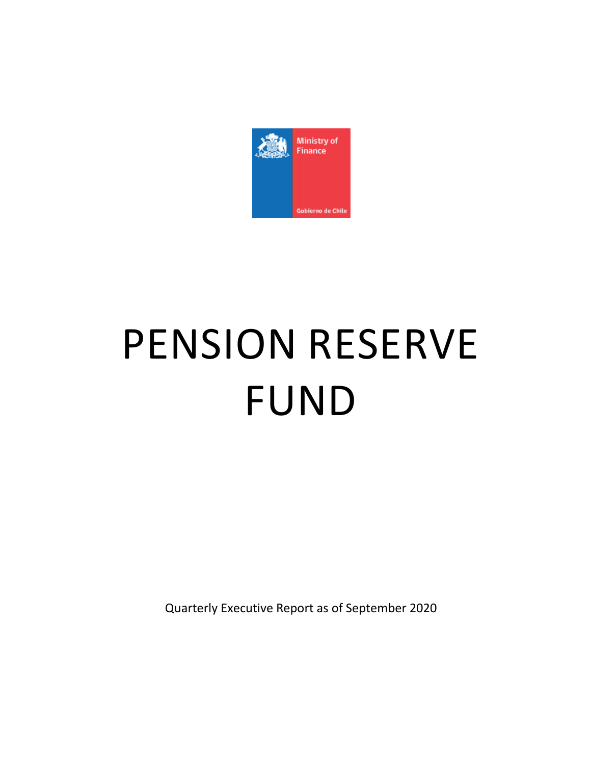

# PENSION RESERVE FUND

Quarterly Executive Report as of September 2020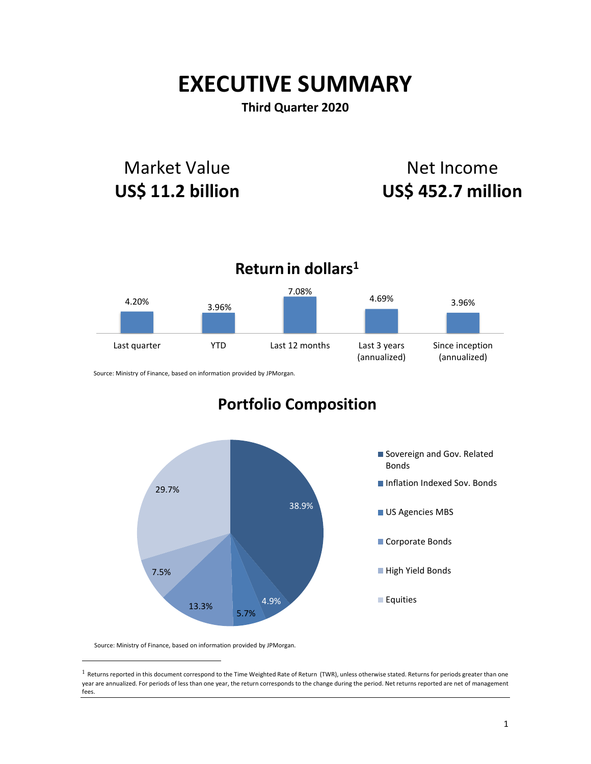# **EXECUTIVE SUMMARY**

# **Third Quarter 2020**

# Market Value **US\$ 11.2 billion**

# Net Income **US\$ 452.7 million**



Source: Ministry of Finance, based on information provided by JPMorgan.

# **Portfolio Composition**



Source: Ministry of Finance, based on information provided by JPMorgan.

 $\overline{a}$ 

 $1$  Returns reported in this document correspond to the Time Weighted Rate of Return (TWR), unless otherwise stated. Returns for periods greater than one year are annualized. For periods of less than one year, the return corresponds to the change during the period. Net returns reported are net of management fees.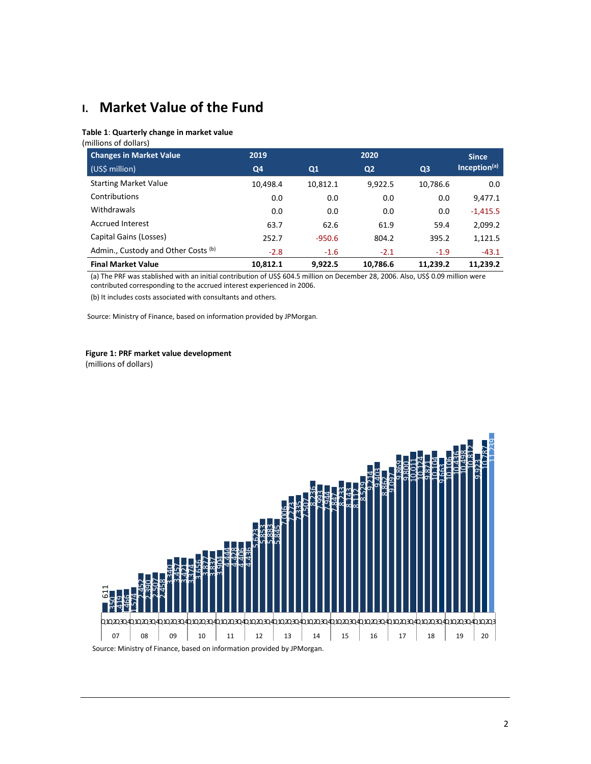# **I. Market Value of the Fund**

#### **Table 1**: **Quarterly change in market value**

(millions of dollars)

| <b>Changes in Market Value</b>      | 2019     |          | 2020           |                | <b>Since</b>             |
|-------------------------------------|----------|----------|----------------|----------------|--------------------------|
| (US\$ million)                      | Q4       | Q1       | Q <sub>2</sub> | Q <sub>3</sub> | Inception <sup>(a)</sup> |
| <b>Starting Market Value</b>        | 10,498.4 | 10,812.1 | 9,922.5        | 10,786.6       | 0.0                      |
| Contributions                       | 0.0      | 0.0      | 0.0            | 0.0            | 9,477.1                  |
| Withdrawals                         | 0.0      | 0.0      | 0.0            | 0.0            | $-1,415.5$               |
| <b>Accrued Interest</b>             | 63.7     | 62.6     | 61.9           | 59.4           | 2,099.2                  |
| Capital Gains (Losses)              | 252.7    | $-950.6$ | 804.2          | 395.2          | 1,121.5                  |
| Admin., Custody and Other Costs (b) | $-2.8$   | $-1.6$   | $-2.1$         | $-1.9$         | $-43.1$                  |
| <b>Final Market Value</b>           | 10.812.1 | 9.922.5  | 10,786.6       | 11.239.2       | 11.239.2                 |

(a) The PRF was stablished with an initial contribution of US\$ 604.5 million on December 28, 2006. Also, US\$ 0.09 million were contributed corresponding to the accrued interest experienced in 2006.

(b) It includes costs associated with consultants and others.

Source: Ministry of Finance, based on information provided by JPMorgan.

# **Figure 1: PRF market value development**

(millions of dollars)

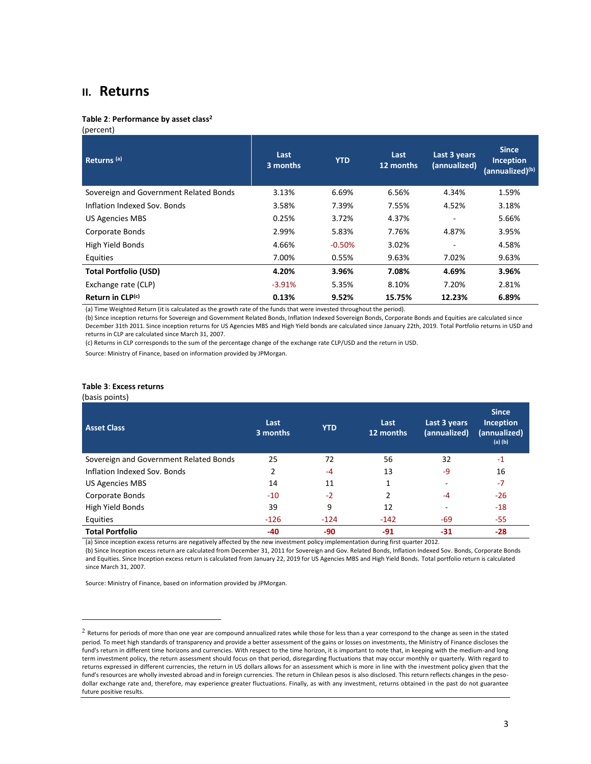### **II. Returns**

#### **Table 2**: **Performance by asset class<sup>2</sup>**

(percent)

| Returns <sup>(a)</sup>                 | Last<br>3 months | <b>YTD</b> | Last<br>12 months | Last 3 years<br>(annualized) | <b>Since</b><br>Inception<br>(annualized) <sup>(b)</sup> |
|----------------------------------------|------------------|------------|-------------------|------------------------------|----------------------------------------------------------|
| Sovereign and Government Related Bonds | 3.13%            | 6.69%      | 6.56%             | 4.34%                        | 1.59%                                                    |
| Inflation Indexed Sov. Bonds           | 3.58%            | 7.39%      | 7.55%             | 4.52%                        | 3.18%                                                    |
| <b>US Agencies MBS</b>                 | 0.25%            | 3.72%      | 4.37%             | ٠                            | 5.66%                                                    |
| Corporate Bonds                        | 2.99%            | 5.83%      | 7.76%             | 4.87%                        | 3.95%                                                    |
| High Yield Bonds                       | 4.66%            | $-0.50%$   | 3.02%             | ÷                            | 4.58%                                                    |
| Equities                               | 7.00%            | 0.55%      | 9.63%             | 7.02%                        | 9.63%                                                    |
| <b>Total Portfolio (USD)</b>           | 4.20%            | 3.96%      | 7.08%             | 4.69%                        | 3.96%                                                    |
| Exchange rate (CLP)                    | $-3.91%$         | 5.35%      | 8.10%             | 7.20%                        | 2.81%                                                    |
| Return in CLP(c)                       | 0.13%            | 9.52%      | 15.75%            | 12.23%                       | 6.89%                                                    |

(a) Time Weighted Return (it is calculated as the growth rate of the funds that were invested throughout the period).

(b) Since inception returns for Sovereign and Government Related Bonds, Inflation Indexed Sovereign Bonds, Corporate Bonds and Equities are calculated since December 31th 2011. Since inception returns for US Agencies MBS and High Yield bonds are calculated since January 22th, 2019. Total Portfolio returns in USD and returns in CLP are calculated since March 31, 2007.

(c) Returns in CLP corresponds to the sum of the percentage change of the exchange rate CLP/USD and the return in USD.

Source: Ministry of Finance, based on information provided by JPMorgan.

#### **Table 3**: **Excess returns**

 $\overline{a}$ 

| (basis points)                         |                  |            |                   |                              |                                                          |
|----------------------------------------|------------------|------------|-------------------|------------------------------|----------------------------------------------------------|
| <b>Asset Class</b>                     | Last<br>3 months | <b>YTD</b> | Last<br>12 months | Last 3 years<br>(annualized) | <b>Since</b><br>Inception<br>(annualized)<br>$(a)$ $(b)$ |
| Sovereign and Government Related Bonds | 25               | 72         | 56                | 32                           | $-1$                                                     |
| Inflation Indexed Sov. Bonds           | 2                | $-4$       | 13                | -9                           | 16                                                       |
| <b>US Agencies MBS</b>                 | 14               | 11         | 1                 | $\overline{\phantom{a}}$     | $-7$                                                     |
| Corporate Bonds                        | $-10$            | $-2$       | 2                 | -4                           | $-26$                                                    |
| High Yield Bonds                       | 39               | 9          | 12                |                              | $-18$                                                    |
| Equities                               | $-126$           | $-124$     | $-142$            | $-69$                        | $-55$                                                    |
| <b>Total Portfolio</b>                 | -40              | $-90$      | $-91$             | $-31$                        | $-28$                                                    |

(a) Since inception excess returns are negatively affected by the new investment policy implementation during first quarter 2012. (b) Since Inception excess return are calculated from December 31, 2011 for Sovereign and Gov. Related Bonds, Inflation Indexed Sov. Bonds, Corporate Bonds and Equities. Since Inception excess return is calculated from January 22, 2019 for US Agencies MBS and High Yield Bonds. Total portfolio return is calculated since March 31, 2007.

 $2$  Returns for periods of more than one year are compound annualized rates while those for less than a year correspond to the change as seen in the stated period. To meet high standards of transparency and provide a better assessment of the gains or losses on investments, the Ministry of Finance discloses the fund's return in different time horizons and currencies. With respect to the time horizon, it is important to note that, in keeping with the medium-and long term investment policy, the return assessment should focus on that period, disregarding fluctuations that may occur monthly or quarterly. With regard to returns expressed in different currencies, the return in US dollars allows for an assessment which is more in line with the investment policy given that the fund's resources are wholly invested abroad and in foreign currencies. The return in Chilean pesos is also disclosed. This return reflects changes in the pesodollar exchange rate and, therefore, may experience greater fluctuations. Finally, as with any investment, returns obtained in the past do not guarantee future positive results.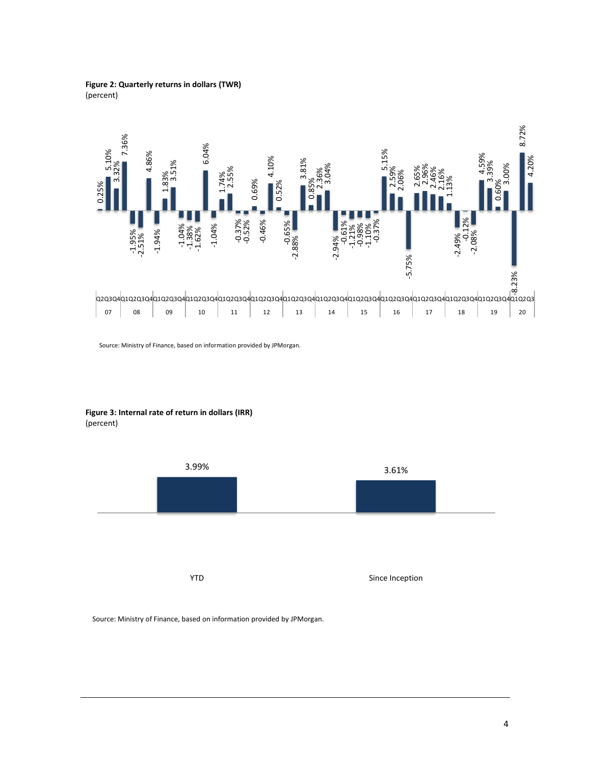#### **Figure 2: Quarterly returns in dollars (TWR)** (percent)



Source: Ministry of Finance, based on information provided by JPMorgan.

**Figure 3: Internal rate of return in dollars (IRR)** (percent)

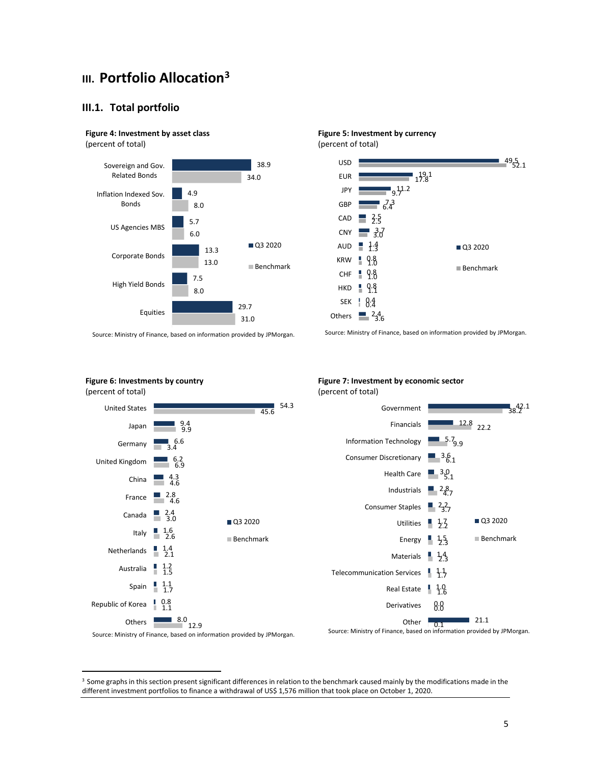# **III. Portfolio Allocation<sup>3</sup>**

#### **III.1. Total portfolio**

## **Figure 4: Investment by asset class**

(percent of total)

 $\overline{a}$ 



Source: Ministry of Finance, based on information provided by JPMorgan.



**Figure 5: Investment by currency**



<sup>&</sup>lt;sup>3</sup> Some graphs in this section present significant differences in relation to the benchmark caused mainly by the modifications made in the different investment portfolios to finance a withdrawal of US\$ 1,576 million that took place on October 1, 2020.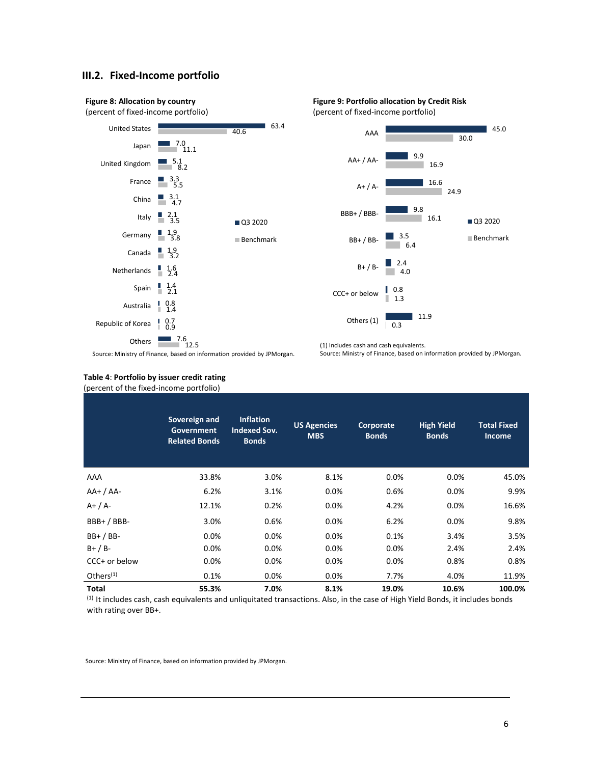#### **III.2. Fixed-Income portfolio**





(1) Includes cash and cash equivalents.



Source: Ministry of Finance, based on information provided by JPMorgan.

#### **Table 4**: **Portfolio by issuer credit rating** (percent of the fixed-income portfolio)

|               | Sovereign and<br><b>Government</b><br><b>Related Bonds</b> | <b>Inflation</b><br><b>Indexed Sov.</b><br><b>Bonds</b> | <b>US Agencies</b><br><b>MBS</b> | <b>Corporate</b><br><b>Bonds</b> | <b>High Yield</b><br><b>Bonds</b> | <b>Total Fixed</b><br><b>Income</b> |
|---------------|------------------------------------------------------------|---------------------------------------------------------|----------------------------------|----------------------------------|-----------------------------------|-------------------------------------|
| AAA           | 33.8%                                                      | 3.0%                                                    | 8.1%                             | 0.0%                             | 0.0%                              | 45.0%                               |
| $AA+ / AA-$   | 6.2%                                                       | 3.1%                                                    | $0.0\%$                          | 0.6%                             | 0.0%                              | 9.9%                                |
| $A+ / A-$     | 12.1%                                                      | 0.2%                                                    | $0.0\%$                          | 4.2%                             | 0.0%                              | 16.6%                               |
| $BBB+ / BBB-$ | 3.0%                                                       | 0.6%                                                    | 0.0%                             | 6.2%                             | 0.0%                              | 9.8%                                |
| $BB+ / BB-$   | 0.0%                                                       | 0.0%                                                    | 0.0%                             | 0.1%                             | 3.4%                              | 3.5%                                |
| $B+ / B-$     | 0.0%                                                       | 0.0%                                                    | 0.0%                             | 0.0%                             | 2.4%                              | 2.4%                                |
| CCC+ or below | 0.0%                                                       | 0.0%                                                    | 0.0%                             | 0.0%                             | 0.8%                              | 0.8%                                |
| Others $(1)$  | 0.1%                                                       | 0.0%                                                    | 0.0%                             | 7.7%                             | 4.0%                              | 11.9%                               |
| <b>Total</b>  | 55.3%                                                      | 7.0%                                                    | 8.1%                             | 19.0%                            | 10.6%                             | 100.0%                              |

(1) It includes cash, cash equivalents and unliquitated transactions. Also, in the case of High Yield Bonds, it includes bonds with rating over BB+.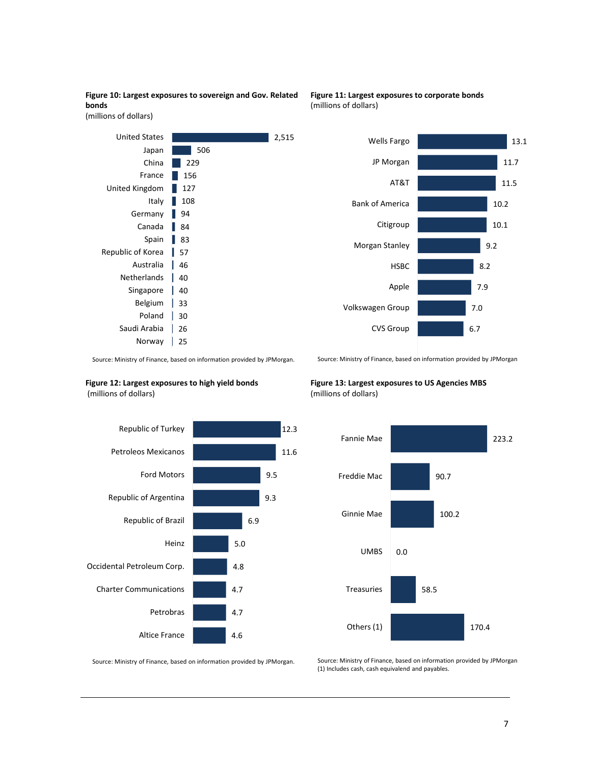

2,515

#### **Figure 11: Largest exposures to corporate bonds** (millions of dollars)



Saudi Arabia | 26 25 Norway

30

Source: Ministry of Finance, based on information provided by JPMorgan. .

#### **Figure 12: Largest exposures to high yield bonds** (millions of dollars)

Canada | 84 Spain 83

Italy | Germany |

46 Australia Netherlands | 40 Singapore | 40 Belgium | 33

Poland |

Republic of Korea | 57

United States Japan China France **N** 

United Kingdom



Source: Ministry of Finance, based on information provided by JPMorgan

**Figure 13: Largest exposures to US Agencies MBS**  (millions of dollars)



Source: Ministry of Finance, based on information provided by JPMorgan.

Source: Ministry of Finance, based on information provided by JPMorgan (1) Includes cash, cash equivalend and payables.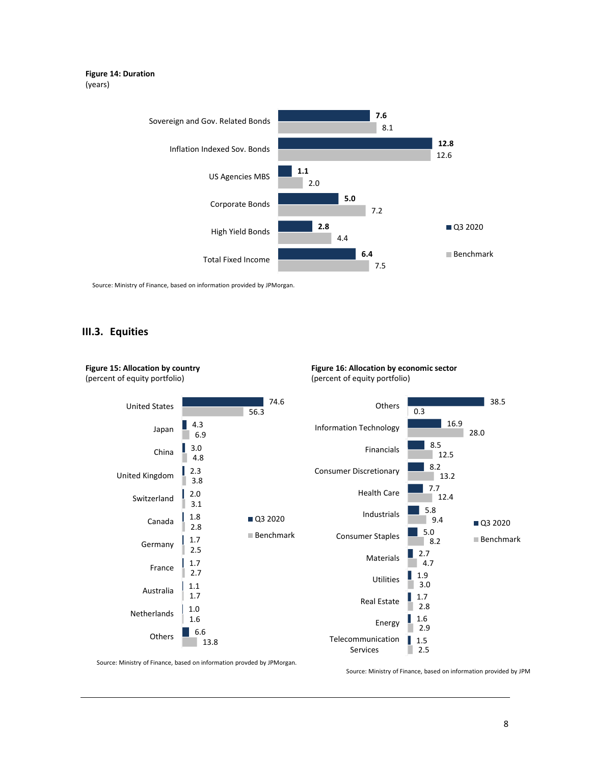#### **Figure 14: Duration** (years)



Source: Ministry of Finance, based on information provided by JPMorgan.

#### **III.3. Equities**

**Figure 15: Allocation by country**



**Figure 16: Allocation by economic sector** (percent of equity portfolio)

Source: Ministry of Finance, based on information provded by JPMorgan.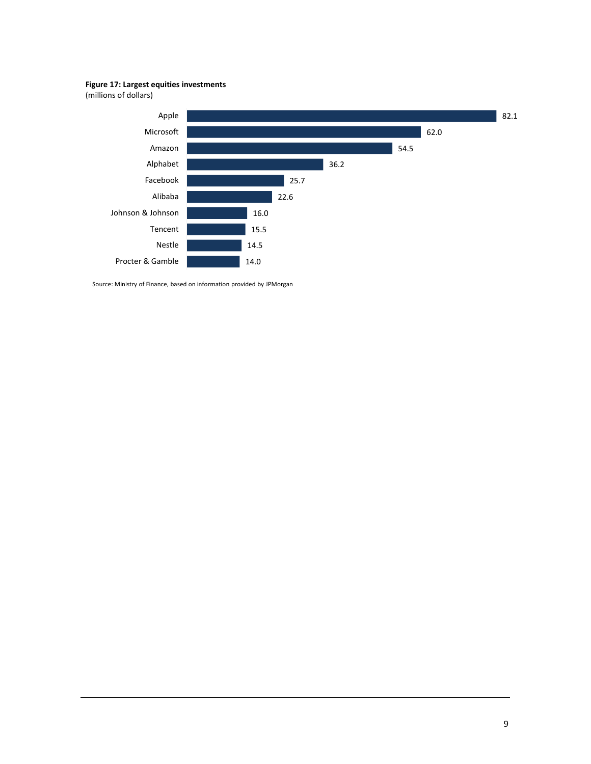**Figure 17: Largest equities investments**

(millions of dollars)

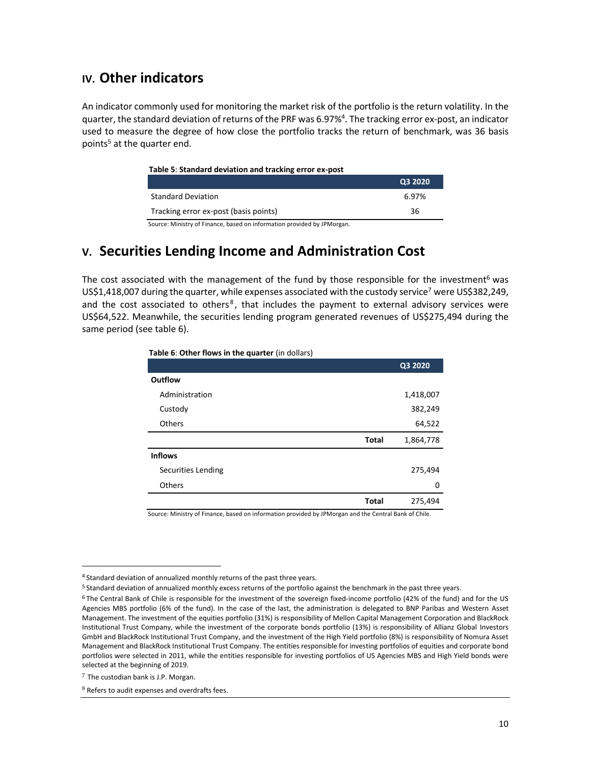## **IV. Other indicators**

An indicator commonly used for monitoring the market risk of the portfolio is the return volatility. In the quarter, the standard deviation of returns of the PRF was 6.97%<sup>4</sup>. The tracking error ex-post, an indicator used to measure the degree of how close the portfolio tracks the return of benchmark, was 36 basis points<sup>5</sup> at the quarter end.

#### **Table 5**: **Standard deviation and tracking error ex-post**

|                                       | Q3 2020 |
|---------------------------------------|---------|
| <b>Standard Deviation</b>             | 6.97%   |
| Tracking error ex-post (basis points) | 36      |

Source: Ministry of Finance, based on information provided by JPMorgan.

# **V. Securities Lending Income and Administration Cost**

The cost associated with the management of the fund by those responsible for the investment<sup>6</sup> was US\$1,418,007 during the quarter, while expenses associated with the custody service<sup>7</sup> were US\$382,249, and the cost associated to others<sup>8</sup>, that includes the payment to external advisory services were US\$64,522. Meanwhile, the securities lending program generated revenues of US\$275,494 during the same period (see table 6).

| Table 6: Other flows in the quarter (in dollars) |  |
|--------------------------------------------------|--|
|--------------------------------------------------|--|

|                    |              | Q3 2020   |
|--------------------|--------------|-----------|
| <b>Outflow</b>     |              |           |
| Administration     |              | 1,418,007 |
| Custody            |              | 382,249   |
| Others             |              | 64,522    |
|                    | <b>Total</b> | 1,864,778 |
| <b>Inflows</b>     |              |           |
| Securities Lending |              | 275,494   |
| Others             |              | 0         |
|                    | <b>Total</b> | 275,494   |
| .<br>.             |              | .         |

Source: Ministry of Finance, based on information provided by JPMorgan and the Central Bank of Chile.

 $\overline{a}$ 

<sup>&</sup>lt;sup>4</sup> Standard deviation of annualized monthly returns of the past three years.

<sup>5</sup> Standard deviation of annualized monthly excess returns of the portfolio against the benchmark in the past three years.

<sup>6</sup> The Central Bank of Chile is responsible for the investment of the sovereign fixed-income portfolio (42% of the fund) and for the US Agencies MBS portfolio (6% of the fund). In the case of the last, the administration is delegated to BNP Paribas and Western Asset Management. The investment of the equities portfolio (31%) is responsibility of Mellon Capital Management Corporation and BlackRock Institutional Trust Company, while the investment of the corporate bonds portfolio (13%) is responsibility of Allianz Global Investors GmbH and BlackRock Institutional Trust Company, and the investment of the High Yield portfolio (8%) is responsibility of Nomura Asset Management and BlackRock Institutional Trust Company. The entities responsible for investing portfolios of equities and corporate bond portfolios were selected in 2011, while the entities responsible for investing portfolios of US Agencies MBS and High Yield bonds were selected at the beginning of 2019.

 $7$  The custodian bank is J.P. Morgan.

<sup>8</sup> Refers to audit expenses and overdrafts fees.